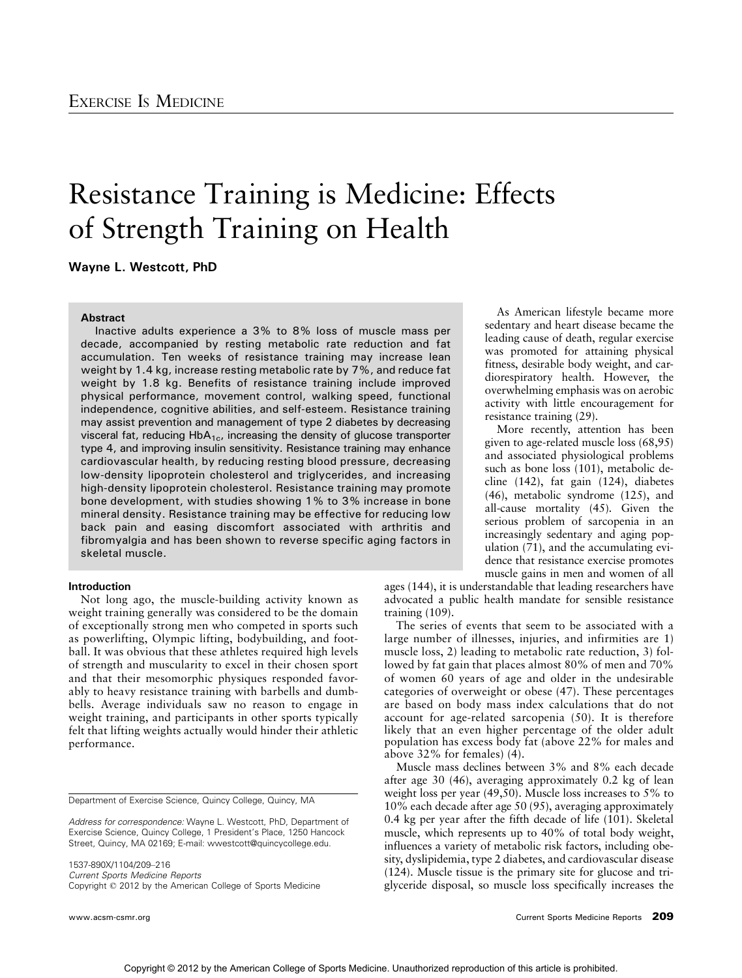# Resistance Training is Medicine: Effects of Strength Training on Health

Wayne L. Westcott, PhD

## **Abstract**

Inactive adults experience a 3% to 8% loss of muscle mass per decade, accompanied by resting metabolic rate reduction and fat accumulation. Ten weeks of resistance training may increase lean weight by 1.4 kg, increase resting metabolic rate by 7%, and reduce fat weight by 1.8 kg. Benefits of resistance training include improved physical performance, movement control, walking speed, functional independence, cognitive abilities, and self-esteem. Resistance training may assist prevention and management of type 2 diabetes by decreasing visceral fat, reducing  $HbA_{1c}$ , increasing the density of glucose transporter type 4, and improving insulin sensitivity. Resistance training may enhance cardiovascular health, by reducing resting blood pressure, decreasing low-density lipoprotein cholesterol and triglycerides, and increasing high-density lipoprotein cholesterol. Resistance training may promote bone development, with studies showing 1% to 3% increase in bone mineral density. Resistance training may be effective for reducing low back pain and easing discomfort associated with arthritis and fibromyalgia and has been shown to reverse specific aging factors in skeletal muscle.

## Introduction

Not long ago, the muscle-building activity known as weight training generally was considered to be the domain of exceptionally strong men who competed in sports such as powerlifting, Olympic lifting, bodybuilding, and football. It was obvious that these athletes required high levels of strength and muscularity to excel in their chosen sport and that their mesomorphic physiques responded favorably to heavy resistance training with barbells and dumbbells. Average individuals saw no reason to engage in weight training, and participants in other sports typically felt that lifting weights actually would hinder their athletic performance.

Department of Exercise Science, Quincy College, Quincy, MA

1537-890X/1104/209-216 Current Sports Medicine Reports Copyright @ 2012 by the American College of Sports Medicine

As American lifestyle became more sedentary and heart disease became the leading cause of death, regular exercise was promoted for attaining physical fitness, desirable body weight, and cardiorespiratory health. However, the overwhelming emphasis was on aerobic activity with little encouragement for resistance training (29).

More recently, attention has been given to age-related muscle loss (68,95) and associated physiological problems such as bone loss (101), metabolic decline (142), fat gain (124), diabetes (46), metabolic syndrome (125), and all-cause mortality (45). Given the serious problem of sarcopenia in an increasingly sedentary and aging population (71), and the accumulating evidence that resistance exercise promotes muscle gains in men and women of all

ages (144), it is understandable that leading researchers have advocated a public health mandate for sensible resistance training (109).

The series of events that seem to be associated with a large number of illnesses, injuries, and infirmities are 1) muscle loss, 2) leading to metabolic rate reduction, 3) followed by fat gain that places almost 80% of men and 70% of women 60 years of age and older in the undesirable categories of overweight or obese (47). These percentages are based on body mass index calculations that do not account for age-related sarcopenia (50). It is therefore likely that an even higher percentage of the older adult population has excess body fat (above 22% for males and above 32% for females) (4).

Muscle mass declines between 3% and 8% each decade after age 30 (46), averaging approximately 0.2 kg of lean weight loss per year (49,50). Muscle loss increases to 5% to 10% each decade after age 50 (95), averaging approximately 0.4 kg per year after the fifth decade of life (101). Skeletal muscle, which represents up to 40% of total body weight, influences a variety of metabolic risk factors, including obesity, dyslipidemia, type 2 diabetes, and cardiovascular disease (124). Muscle tissue is the primary site for glucose and triglyceride disposal, so muscle loss specifically increases the

Address for correspondence: Wayne L. Westcott, PhD, Department of Exercise Science, Quincy College, 1 President's Place, 1250 Hancock Street, Quincy, MA 02169; E-mail: wwestcott@quincycollege.edu.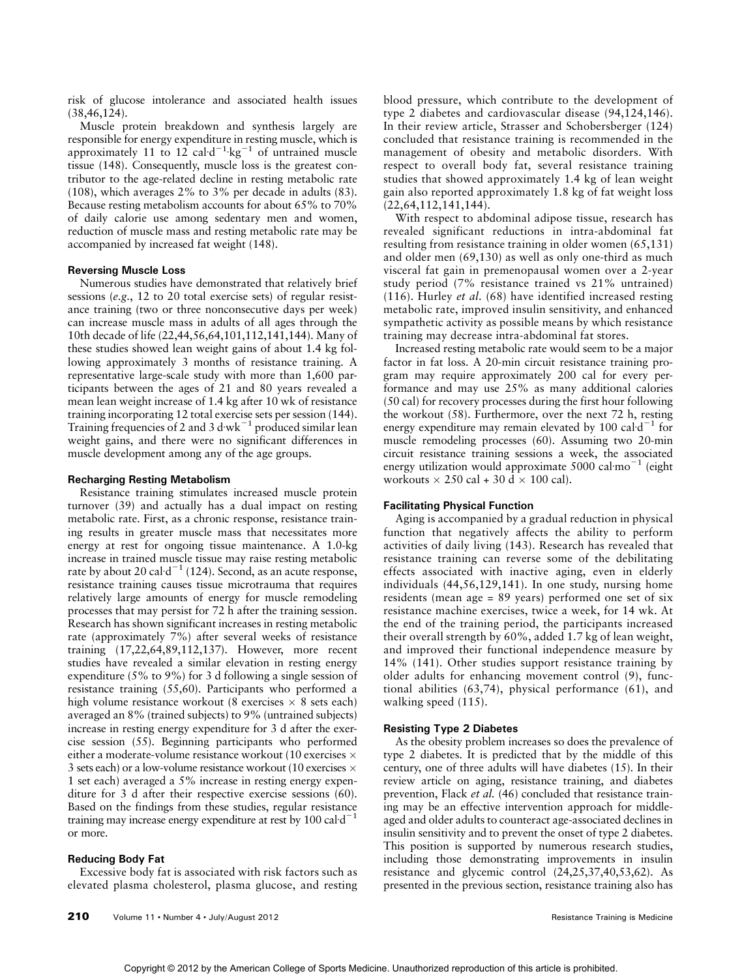risk of glucose intolerance and associated health issues (38,46,124).

Muscle protein breakdown and synthesis largely are responsible for energy expenditure in resting muscle, which is approximately 11 to 12 cal  $d^{-1}$  kg<sup>-1</sup> of untrained muscle tissue (148). Consequently, muscle loss is the greatest contributor to the age-related decline in resting metabolic rate (108), which averages 2% to 3% per decade in adults (83). Because resting metabolism accounts for about 65% to 70% of daily calorie use among sedentary men and women, reduction of muscle mass and resting metabolic rate may be accompanied by increased fat weight (148).

## Reversing Muscle Loss

Numerous studies have demonstrated that relatively brief sessions (e.g., 12 to 20 total exercise sets) of regular resistance training (two or three nonconsecutive days per week) can increase muscle mass in adults of all ages through the 10th decade of life (22,44,56,64,101,112,141,144). Many of these studies showed lean weight gains of about 1.4 kg following approximately 3 months of resistance training. A representative large-scale study with more than 1,600 participants between the ages of 21 and 80 years revealed a mean lean weight increase of 1.4 kg after 10 wk of resistance training incorporating 12 total exercise sets per session (144). Training frequencies of 2 and 3 d $wk^{-1}$  produced similar lean weight gains, and there were no significant differences in muscle development among any of the age groups.

#### Recharging Resting Metabolism

Resistance training stimulates increased muscle protein turnover (39) and actually has a dual impact on resting metabolic rate. First, as a chronic response, resistance training results in greater muscle mass that necessitates more energy at rest for ongoing tissue maintenance. A 1.0-kg increase in trained muscle tissue may raise resting metabolic rate by about 20 cal $d^{-1}$  (124). Second, as an acute response, resistance training causes tissue microtrauma that requires relatively large amounts of energy for muscle remodeling processes that may persist for 72 h after the training session. Research has shown significant increases in resting metabolic rate (approximately 7%) after several weeks of resistance training (17,22,64,89,112,137). However, more recent studies have revealed a similar elevation in resting energy expenditure (5% to 9%) for 3 d following a single session of resistance training (55,60). Participants who performed a high volume resistance workout (8 exercises  $\times$  8 sets each) averaged an 8% (trained subjects) to 9% (untrained subjects) increase in resting energy expenditure for 3 d after the exercise session (55). Beginning participants who performed either a moderate-volume resistance workout (10 exercises  $\times$ 3 sets each) or a low-volume resistance workout (10 exercises  $\times$ 1 set each) averaged a 5% increase in resting energy expenditure for 3 d after their respective exercise sessions (60). Based on the findings from these studies, regular resistance training may increase energy expenditure at rest by  $100 \text{ cal-d}^{-1}$ or more.

## Reducing Body Fat

Excessive body fat is associated with risk factors such as elevated plasma cholesterol, plasma glucose, and resting blood pressure, which contribute to the development of type 2 diabetes and cardiovascular disease (94,124,146). In their review article, Strasser and Schobersberger (124) concluded that resistance training is recommended in the management of obesity and metabolic disorders. With respect to overall body fat, several resistance training studies that showed approximately 1.4 kg of lean weight gain also reported approximately 1.8 kg of fat weight loss (22,64,112,141,144).

With respect to abdominal adipose tissue, research has revealed significant reductions in intra-abdominal fat resulting from resistance training in older women (65,131) and older men (69,130) as well as only one-third as much visceral fat gain in premenopausal women over a 2-year study period (7% resistance trained vs 21% untrained) (116). Hurley et al. (68) have identified increased resting metabolic rate, improved insulin sensitivity, and enhanced sympathetic activity as possible means by which resistance training may decrease intra-abdominal fat stores.

Increased resting metabolic rate would seem to be a major factor in fat loss. A 20-min circuit resistance training program may require approximately 200 cal for every performance and may use 25% as many additional calories (50 cal) for recovery processes during the first hour following the workout (58). Furthermore, over the next 72 h, resting energy expenditure may remain elevated by 100 cal $d^{-1}$  for muscle remodeling processes (60). Assuming two 20-min circuit resistance training sessions a week, the associated energy utilization would approximate  $5000 \text{ cal} \cdot \text{mo}^{-1}$  (eight) workouts  $\times$  250 cal + 30 d  $\times$  100 cal).

#### Facilitating Physical Function

Aging is accompanied by a gradual reduction in physical function that negatively affects the ability to perform activities of daily living (143). Research has revealed that resistance training can reverse some of the debilitating effects associated with inactive aging, even in elderly individuals (44,56,129,141). In one study, nursing home residents (mean age = 89 years) performed one set of six resistance machine exercises, twice a week, for 14 wk. At the end of the training period, the participants increased their overall strength by 60%, added 1.7 kg of lean weight, and improved their functional independence measure by 14% (141). Other studies support resistance training by older adults for enhancing movement control (9), functional abilities (63,74), physical performance (61), and walking speed (115).

### Resisting Type 2 Diabetes

As the obesity problem increases so does the prevalence of type 2 diabetes. It is predicted that by the middle of this century, one of three adults will have diabetes (15). In their review article on aging, resistance training, and diabetes prevention, Flack et al. (46) concluded that resistance training may be an effective intervention approach for middleaged and older adults to counteract age-associated declines in insulin sensitivity and to prevent the onset of type 2 diabetes. This position is supported by numerous research studies, including those demonstrating improvements in insulin resistance and glycemic control (24,25,37,40,53,62). As presented in the previous section, resistance training also has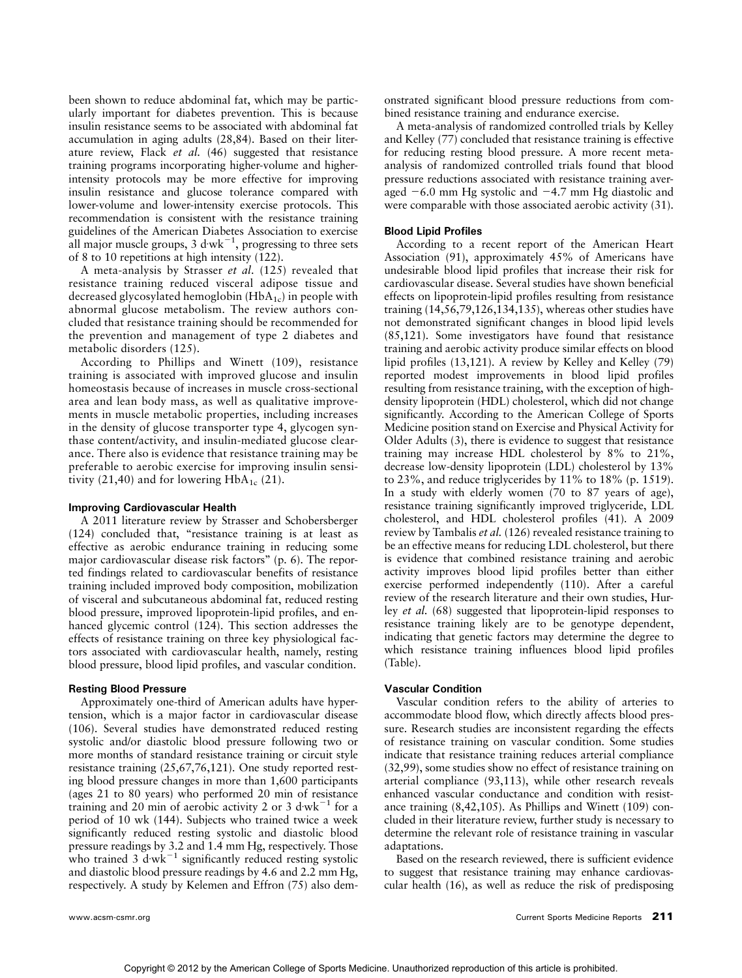been shown to reduce abdominal fat, which may be particularly important for diabetes prevention. This is because insulin resistance seems to be associated with abdominal fat accumulation in aging adults (28,84). Based on their literature review, Flack et al. (46) suggested that resistance training programs incorporating higher-volume and higherintensity protocols may be more effective for improving insulin resistance and glucose tolerance compared with lower-volume and lower-intensity exercise protocols. This recommendation is consistent with the resistance training guidelines of the American Diabetes Association to exercise all major muscle groups, 3 d·wk<sup>-1</sup>, progressing to three sets of 8 to 10 repetitions at high intensity (122).

A meta-analysis by Strasser et al. (125) revealed that resistance training reduced visceral adipose tissue and decreased glycosylated hemoglobin  $(HbA_{1c})$  in people with abnormal glucose metabolism. The review authors concluded that resistance training should be recommended for the prevention and management of type 2 diabetes and metabolic disorders (125).

According to Phillips and Winett (109), resistance training is associated with improved glucose and insulin homeostasis because of increases in muscle cross-sectional area and lean body mass, as well as qualitative improvements in muscle metabolic properties, including increases in the density of glucose transporter type 4, glycogen synthase content/activity, and insulin-mediated glucose clearance. There also is evidence that resistance training may be preferable to aerobic exercise for improving insulin sensitivity (21,40) and for lowering  $HbA_{1c}$  (21).

## Improving Cardiovascular Health

A 2011 literature review by Strasser and Schobersberger (124) concluded that, ''resistance training is at least as effective as aerobic endurance training in reducing some major cardiovascular disease risk factors" (p. 6). The reported findings related to cardiovascular benefits of resistance training included improved body composition, mobilization of visceral and subcutaneous abdominal fat, reduced resting blood pressure, improved lipoprotein-lipid profiles, and enhanced glycemic control (124). This section addresses the effects of resistance training on three key physiological factors associated with cardiovascular health, namely, resting blood pressure, blood lipid profiles, and vascular condition.

## Resting Blood Pressure

Approximately one-third of American adults have hypertension, which is a major factor in cardiovascular disease (106). Several studies have demonstrated reduced resting systolic and/or diastolic blood pressure following two or more months of standard resistance training or circuit style resistance training (25,67,76,121). One study reported resting blood pressure changes in more than 1,600 participants (ages 21 to 80 years) who performed 20 min of resistance training and 20 min of aerobic activity 2 or 3 d $wk^{-1}$  for a period of 10 wk (144). Subjects who trained twice a week significantly reduced resting systolic and diastolic blood pressure readings by 3.2 and 1.4 mm Hg, respectively. Those who trained  $3 \text{ d}\text{w}\text{k}^{-1}$  significantly reduced resting systolic and diastolic blood pressure readings by 4.6 and 2.2 mm Hg, respectively. A study by Kelemen and Effron (75) also demonstrated significant blood pressure reductions from combined resistance training and endurance exercise.

A meta-analysis of randomized controlled trials by Kelley and Kelley (77) concluded that resistance training is effective for reducing resting blood pressure. A more recent metaanalysis of randomized controlled trials found that blood pressure reductions associated with resistance training averaged  $-6.0$  mm Hg systolic and  $-4.7$  mm Hg diastolic and were comparable with those associated aerobic activity (31).

### Blood Lipid Profiles

According to a recent report of the American Heart Association (91), approximately 45% of Americans have undesirable blood lipid profiles that increase their risk for cardiovascular disease. Several studies have shown beneficial effects on lipoprotein-lipid profiles resulting from resistance training (14,56,79,126,134,135), whereas other studies have not demonstrated significant changes in blood lipid levels (85,121). Some investigators have found that resistance training and aerobic activity produce similar effects on blood lipid profiles (13,121). A review by Kelley and Kelley (79) reported modest improvements in blood lipid profiles resulting from resistance training, with the exception of highdensity lipoprotein (HDL) cholesterol, which did not change significantly. According to the American College of Sports Medicine position stand on Exercise and Physical Activity for Older Adults (3), there is evidence to suggest that resistance training may increase HDL cholesterol by 8% to 21%, decrease low-density lipoprotein (LDL) cholesterol by 13% to 23%, and reduce triglycerides by 11% to 18% (p. 1519). In a study with elderly women (70 to 87 years of age), resistance training significantly improved triglyceride, LDL cholesterol, and HDL cholesterol profiles (41). A 2009 review by Tambalis et al. (126) revealed resistance training to be an effective means for reducing LDL cholesterol, but there is evidence that combined resistance training and aerobic activity improves blood lipid profiles better than either exercise performed independently (110). After a careful review of the research literature and their own studies, Hurley et al. (68) suggested that lipoprotein-lipid responses to resistance training likely are to be genotype dependent, indicating that genetic factors may determine the degree to which resistance training influences blood lipid profiles (Table).

#### Vascular Condition

Vascular condition refers to the ability of arteries to accommodate blood flow, which directly affects blood pressure. Research studies are inconsistent regarding the effects of resistance training on vascular condition. Some studies indicate that resistance training reduces arterial compliance (32,99), some studies show no effect of resistance training on arterial compliance (93,113), while other research reveals enhanced vascular conductance and condition with resistance training (8,42,105). As Phillips and Winett (109) concluded in their literature review, further study is necessary to determine the relevant role of resistance training in vascular adaptations.

Based on the research reviewed, there is sufficient evidence to suggest that resistance training may enhance cardiovascular health (16), as well as reduce the risk of predisposing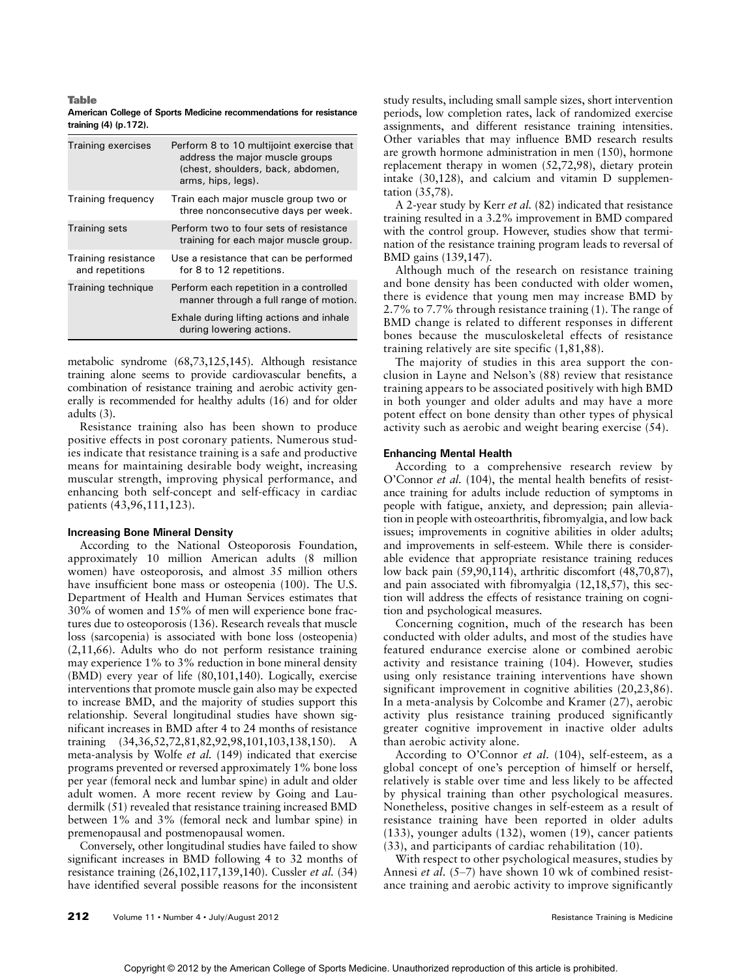Table American College of Sports Medicine recommendations for resistance training (4) (p.172).

| <b>Training exercises</b>              | Perform 8 to 10 multijoint exercise that<br>address the major muscle groups<br>(chest, shoulders, back, abdomen,<br>arms, hips, legs). |
|----------------------------------------|----------------------------------------------------------------------------------------------------------------------------------------|
| Training frequency                     | Train each major muscle group two or<br>three nonconsecutive days per week.                                                            |
| <b>Training sets</b>                   | Perform two to four sets of resistance<br>training for each major muscle group.                                                        |
| Training resistance<br>and repetitions | Use a resistance that can be performed<br>for 8 to 12 repetitions.                                                                     |
| Training technique                     | Perform each repetition in a controlled<br>manner through a full range of motion.                                                      |
|                                        | Exhale during lifting actions and inhale<br>during lowering actions.                                                                   |

metabolic syndrome (68,73,125,145). Although resistance training alone seems to provide cardiovascular benefits, a combination of resistance training and aerobic activity generally is recommended for healthy adults (16) and for older adults (3).

Resistance training also has been shown to produce positive effects in post coronary patients. Numerous studies indicate that resistance training is a safe and productive means for maintaining desirable body weight, increasing muscular strength, improving physical performance, and enhancing both self-concept and self-efficacy in cardiac patients (43,96,111,123).

## Increasing Bone Mineral Density

According to the National Osteoporosis Foundation, approximately 10 million American adults (8 million women) have osteoporosis, and almost 35 million others have insufficient bone mass or osteopenia (100). The U.S. Department of Health and Human Services estimates that 30% of women and 15% of men will experience bone fractures due to osteoporosis (136). Research reveals that muscle loss (sarcopenia) is associated with bone loss (osteopenia) (2,11,66). Adults who do not perform resistance training may experience 1% to 3% reduction in bone mineral density (BMD) every year of life (80,101,140). Logically, exercise interventions that promote muscle gain also may be expected to increase BMD, and the majority of studies support this relationship. Several longitudinal studies have shown significant increases in BMD after 4 to 24 months of resistance training (34,36,52,72,81,82,92,98,101,103,138,150). A meta-analysis by Wolfe et al. (149) indicated that exercise programs prevented or reversed approximately 1% bone loss per year (femoral neck and lumbar spine) in adult and older adult women. A more recent review by Going and Laudermilk (51) revealed that resistance training increased BMD between 1% and 3% (femoral neck and lumbar spine) in premenopausal and postmenopausal women.

Conversely, other longitudinal studies have failed to show significant increases in BMD following 4 to 32 months of resistance training (26,102,117,139,140). Cussler et al. (34) have identified several possible reasons for the inconsistent study results, including small sample sizes, short intervention periods, low completion rates, lack of randomized exercise assignments, and different resistance training intensities. Other variables that may influence BMD research results are growth hormone administration in men (150), hormone replacement therapy in women (52,72,98), dietary protein intake (30,128), and calcium and vitamin D supplementation (35,78).

A 2-year study by Kerr et al. (82) indicated that resistance training resulted in a 3.2% improvement in BMD compared with the control group. However, studies show that termination of the resistance training program leads to reversal of BMD gains (139,147).

Although much of the research on resistance training and bone density has been conducted with older women, there is evidence that young men may increase BMD by 2.7% to 7.7% through resistance training (1). The range of BMD change is related to different responses in different bones because the musculoskeletal effects of resistance training relatively are site specific (1,81,88).

The majority of studies in this area support the conclusion in Layne and Nelson's (88) review that resistance training appears to be associated positively with high BMD in both younger and older adults and may have a more potent effect on bone density than other types of physical activity such as aerobic and weight bearing exercise (54).

#### Enhancing Mental Health

According to a comprehensive research review by O'Connor et al. (104), the mental health benefits of resistance training for adults include reduction of symptoms in people with fatigue, anxiety, and depression; pain alleviation in people with osteoarthritis, fibromyalgia, and low back issues; improvements in cognitive abilities in older adults; and improvements in self-esteem. While there is considerable evidence that appropriate resistance training reduces low back pain (59,90,114), arthritic discomfort (48,70,87), and pain associated with fibromyalgia (12,18,57), this section will address the effects of resistance training on cognition and psychological measures.

Concerning cognition, much of the research has been conducted with older adults, and most of the studies have featured endurance exercise alone or combined aerobic activity and resistance training (104). However, studies using only resistance training interventions have shown significant improvement in cognitive abilities (20,23,86). In a meta-analysis by Colcombe and Kramer (27), aerobic activity plus resistance training produced significantly greater cognitive improvement in inactive older adults than aerobic activity alone.

According to O'Connor et al. (104), self-esteem, as a global concept of one's perception of himself or herself, relatively is stable over time and less likely to be affected by physical training than other psychological measures. Nonetheless, positive changes in self-esteem as a result of resistance training have been reported in older adults (133), younger adults (132), women (19), cancer patients (33), and participants of cardiac rehabilitation (10).

With respect to other psychological measures, studies by Annesi et al.  $(5-7)$  have shown 10 wk of combined resistance training and aerobic activity to improve significantly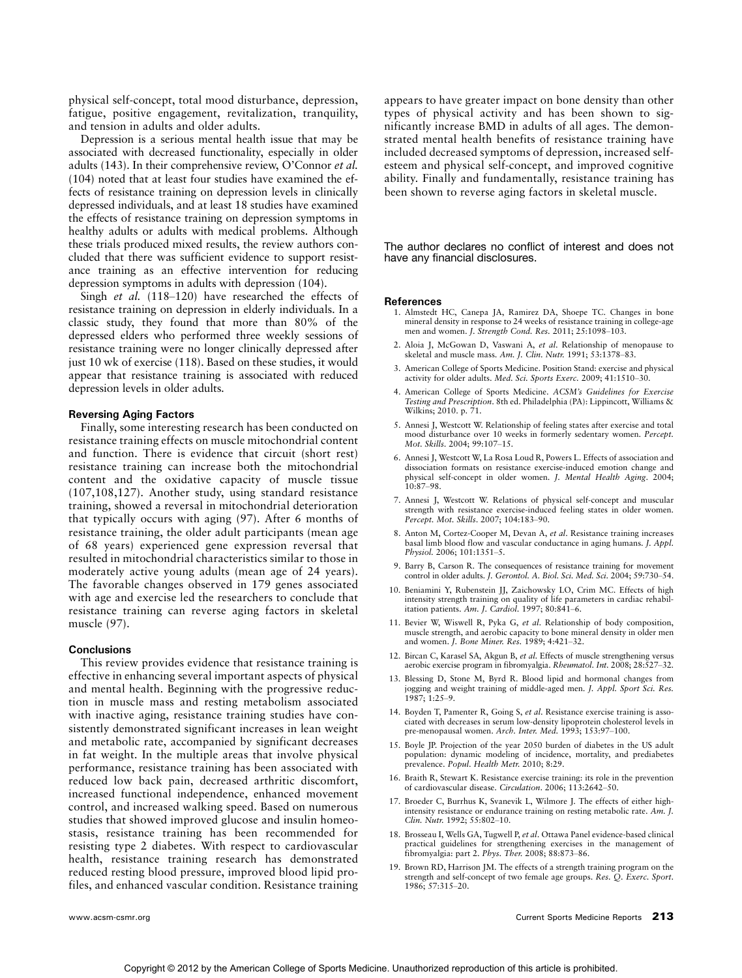physical self-concept, total mood disturbance, depression, fatigue, positive engagement, revitalization, tranquility, and tension in adults and older adults.

Depression is a serious mental health issue that may be associated with decreased functionality, especially in older adults (143). In their comprehensive review, O'Connor et al. (104) noted that at least four studies have examined the effects of resistance training on depression levels in clinically depressed individuals, and at least 18 studies have examined the effects of resistance training on depression symptoms in healthy adults or adults with medical problems. Although these trials produced mixed results, the review authors concluded that there was sufficient evidence to support resistance training as an effective intervention for reducing depression symptoms in adults with depression (104).

Singh et al.  $(118-120)$  have researched the effects of resistance training on depression in elderly individuals. In a classic study, they found that more than 80% of the depressed elders who performed three weekly sessions of resistance training were no longer clinically depressed after just 10 wk of exercise (118). Based on these studies, it would appear that resistance training is associated with reduced depression levels in older adults.

#### Reversing Aging Factors

Finally, some interesting research has been conducted on resistance training effects on muscle mitochondrial content and function. There is evidence that circuit (short rest) resistance training can increase both the mitochondrial content and the oxidative capacity of muscle tissue (107,108,127). Another study, using standard resistance training, showed a reversal in mitochondrial deterioration that typically occurs with aging (97). After 6 months of resistance training, the older adult participants (mean age of 68 years) experienced gene expression reversal that resulted in mitochondrial characteristics similar to those in moderately active young adults (mean age of 24 years). The favorable changes observed in 179 genes associated with age and exercise led the researchers to conclude that resistance training can reverse aging factors in skeletal muscle (97).

#### **Conclusions**

This review provides evidence that resistance training is effective in enhancing several important aspects of physical and mental health. Beginning with the progressive reduction in muscle mass and resting metabolism associated with inactive aging, resistance training studies have consistently demonstrated significant increases in lean weight and metabolic rate, accompanied by significant decreases in fat weight. In the multiple areas that involve physical performance, resistance training has been associated with reduced low back pain, decreased arthritic discomfort, increased functional independence, enhanced movement control, and increased walking speed. Based on numerous studies that showed improved glucose and insulin homeostasis, resistance training has been recommended for resisting type 2 diabetes. With respect to cardiovascular health, resistance training research has demonstrated reduced resting blood pressure, improved blood lipid profiles, and enhanced vascular condition. Resistance training

appears to have greater impact on bone density than other types of physical activity and has been shown to significantly increase BMD in adults of all ages. The demonstrated mental health benefits of resistance training have included decreased symptoms of depression, increased selfesteem and physical self-concept, and improved cognitive ability. Finally and fundamentally, resistance training has been shown to reverse aging factors in skeletal muscle.

The author declares no conflict of interest and does not have any financial disclosures.

#### References

- 1. Almstedt HC, Canepa JA, Ramirez DA, Shoepe TC. Changes in bone mineral density in response to 24 weeks of resistance training in college-age men and women. J. Strength Cond. Res. 2011; 25:1098-103.
- 2. Aloia J, McGowan D, Vaswani A, et al. Relationship of menopause to skeletal and muscle mass. Am. J. Clin. Nutr. 1991;  $53:1378-83$ .
- 3. American College of Sports Medicine. Position Stand: exercise and physical activity for older adults. *Med. Sci. Sports Exerc.* 2009;  $41:1510-30$
- 4. American College of Sports Medicine. ACSM's Guidelines for Exercise Testing and Prescription. 8th ed. Philadelphia (PA): Lippincott, Williams & Wilkins; 2010. p. 71.
- 5. Annesi J, Westcott W. Relationship of feeling states after exercise and total mood disturbance over 10 weeks in formerly sedentary women. Percept. Mot. Skills. 2004; 99:107-15.
- 6. Annesi J, Westcott W, La Rosa Loud R, Powers L. Effects of association and dissociation formats on resistance exercise-induced emotion change and physical self-concept in older women. J. Mental Health Aging. 2004;  $10:87 - 98$ .
- 7. Annesi J, Westcott W. Relations of physical self-concept and muscular strength with resistance exercise-induced feeling states in older women.<br>Percept. Mot. Skills. 2007; 104:183–90.
- 8. Anton M, Cortez-Cooper M, Devan A, et al. Resistance training increases basal limb blood flow and vascular conductance in aging humans. J. Appl. Physiol. 2006: 101:1351-5.
- 9. Barry B, Carson R. The consequences of resistance training for movement control in older adults. J. Gerontol. A. Biol. Sci. Med. Sci. 2004; 59:730-54.
- 10. Beniamini Y, Rubenstein JJ, Zaichowsky LO, Crim MC. Effects of high intensity strength training on quality of life parameters in cardiac rehabilitation patients. Am. J. Cardiol. 1997; 80:841-6.
- 11. Bevier W, Wiswell R, Pyka G, et al. Relationship of body composition, muscle strength, and aerobic capacity to bone mineral density in older men and women. *J. Bone Miner. Res.* 1989; 4:421-32.
- 12. Bircan C, Karasel SA, Akgun B, et al. Effects of muscle strengthening versus aerobic exercise program in fibromyalgia. Rheumatol. Int. 2008; 28:527-32.
- 13. Blessing D, Stone M, Byrd R. Blood lipid and hormonal changes from jogging and weight training of middle-aged men. J. Appl. Sport Sci. Res. 1987: 1:25-9.
- 14. Boyden T, Pamenter R, Going S, et al. Resistance exercise training is associated with decreases in serum low-density lipoprotein cholesterol levels in pre-menopausal women. Arch. Inter. Med. 1993; 153:97-100.
- 15. Boyle JP. Projection of the year 2050 burden of diabetes in the US adult population: dynamic modeling of incidence, mortality, and prediabetes prevalence. Popul. Health Metr. 2010; 8:29.
- 16. Braith R, Stewart K. Resistance exercise training: its role in the prevention of cardiovascular disease. Circulation. 2006; 113:2642-50.
- 17. Broeder C, Burrhus K, Svanevik L, Wilmore J. The effects of either highintensity resistance or endurance training on resting metabolic rate. Am. J. Clin. Nutr. 1992; 55:802-10.
- 18. Brosseau I, Wells GA, Tugwell P, et al. Ottawa Panel evidence-based clinical practical guidelines for strengthening exercises in the management of fibromyalgia: part 2. Phys. Ther. 2008; 88:873-86.
- 19. Brown RD, Harrison JM. The effects of a strength training program on the strength and self-concept of two female age groups. Res. Q. Exerc. Sport. 1986; 57:315-20.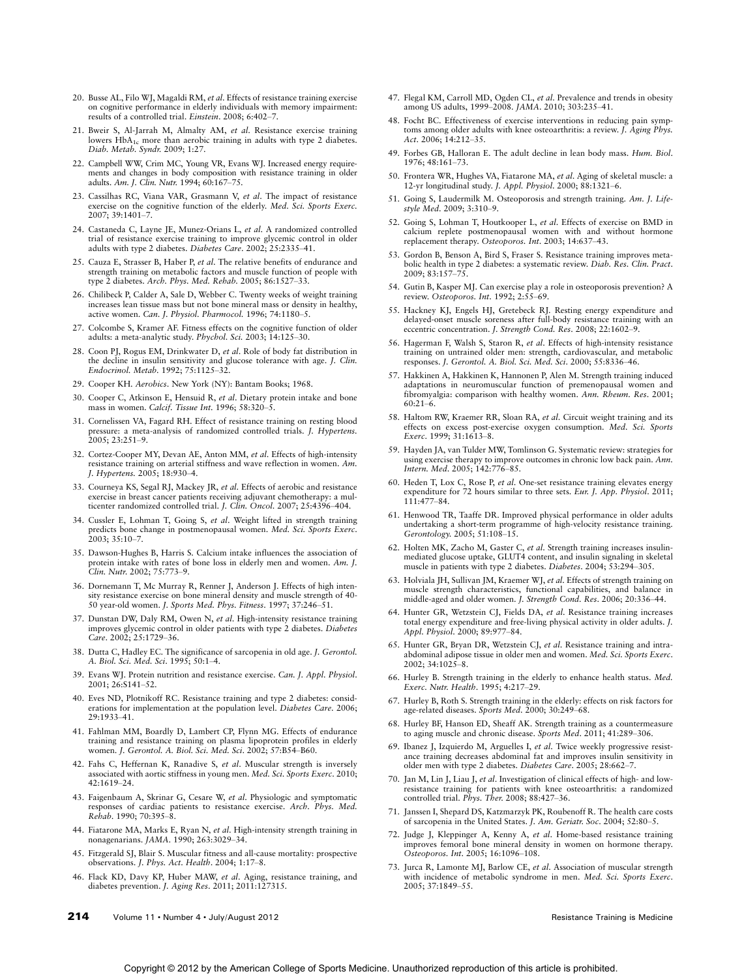- 20. Busse AL, Filo WJ, Magaldi RM, et al. Effects of resistance training exercise on cognitive performance in elderly individuals with memory impairment: results of a controlled trial. Einstein. 2008; 6:402-7.
- 21. Bweir S, Al-Jarrah M, Almalty AM, et al. Resistance exercise training lowers HbA<sub>1c</sub> more than aerobic training in adults with type 2 diabetes. Diab. Metab. Syndr. 2009; 1:27.
- 22. Campbell WW, Crim MC, Young VR, Evans WJ. Increased energy requirements and changes in body composition with resistance training in older adults. Am. J. Clin. Nutr. 1994; 60:167-75.
- 23. Cassilhas RC, Viana VAR, Grasmann V, et al. The impact of resistance exercise on the cognitive function of the elderly. Med. Sci. Sports Exerc. 2007; 39:1401-7.
- 24. Castaneda C, Layne JE, Munez-Orians L, et al. A randomized controlled trial of resistance exercise training to improve glycemic control in older adults with type 2 diabetes. Diabetes Care. 2002; 25:2335-41.
- 25. Cauza E, Strasser B, Haber P, et al. The relative benefits of endurance and strength training on metabolic factors and muscle function of people with type 2 diabetes. Arch. Phys. Med. Rehab. 2005; 86:1527-33.
- 26. Chilibeck P, Calder A, Sale D, Webber C. Twenty weeks of weight training increases lean tissue mass but not bone mineral mass or density in healthy, active women. Can. J. Physiol. Pharmocol. 1996; 74:1180-5.
- 27. Colcombe S, Kramer AF. Fitness effects on the cognitive function of older adults: a meta-analytic study. Phychol. Sci. 2003; 14:125-30.
- 28. Coon PJ, Rogus EM, Drinkwater D, et al. Role of body fat distribution in the decline in insulin sensitivity and glucose tolerance with age. J. Clin. Endocrinol. Metab. 1992; 75:1125-32.
- 29. Cooper KH. Aerobics. New York (NY): Bantam Books; 1968.
- 30. Cooper C, Atkinson E, Hensuid R, et al. Dietary protein intake and bone mass in women. Calcif. Tissue Int. 1996; 58:320-5.
- 31. Cornelissen VA, Fagard RH. Effect of resistance training on resting blood pressure: a meta-analysis of randomized controlled trials. J. Hypertens. 2005; 23:251-9.
- 32. Cortez-Cooper MY, Devan AE, Anton MM, et al. Effects of high-intensity resistance training on arterial stiffness and wave reflection in women. Am. J. Hypertens. 2005; 18:930-4.
- 33. Courneya KS, Segal RJ, Mackey JR, et al. Effects of aerobic and resistance exercise in breast cancer patients receiving adjuvant chemotherapy: a mul-<br>ticenter randomized controlled trial. J. Clin. Oncol. 2007; 25:4396–404.
- 34. Cussler E, Lohman T, Going S, et al. Weight lifted in strength training predicts bone change in postmenopausal women. *Med. Sci. Sports Exerc.*<br>2003; 35:10–7.
- 35. Dawson-Hughes B, Harris S. Calcium intake influences the association of protein intake with rates of bone loss in elderly men and women. Am. J. Clin. Nutr. 2002; 75:773-9.
- 36. Dornemann T, Mc Murray R, Renner J, Anderson J. Effects of high intensity resistance exercise on bone mineral density and muscle strength of 40- 50 year-old women. J. Sports Med. Phys. Fitness. 1997; 37:246-51.
- 37. Dunstan DW, Daly RM, Owen N, et al. High-intensity resistance training improves glycemic control in older patients with type 2 diabetes. Diabetes  $Care. 2002$ ; 25:1729-36.
- 38. Dutta C, Hadley EC. The significance of sarcopenia in old age. J. Gerontol. A. Biol. Sci. Med. Sci. 1995; 50:1-4.
- 39. Evans WJ. Protein nutrition and resistance exercise. Can. J. Appl. Physiol. 2001; 26:S141-52.
- 40. Eves ND, Plotnikoff RC. Resistance training and type 2 diabetes: considerations for implementation at the population level. Diabetes Care. 2006; 29:1933-41.
- 41. Fahlman MM, Boardly D, Lambert CP, Flynn MG. Effects of endurance training and resistance training on plasma lipoprotein profiles in elderly women. J. Gerontol. A. Biol. Sci. Med. Sci. 2002; 57:B54-B60.
- 42. Fahs C, Heffernan K, Ranadive S, et al. Muscular strength is inversely associated with aortic stiffness in young men. Med. Sci. Sports Exerc. 2010; 42:1619-24.
- 43. Faigenbaum A, Skrinar G, Cesare W, et al. Physiologic and symptomatic responses of cardiac patients to resistance exercise. Arch. Phys. Med. Rehab. 1990; 70:395-8.
- 44. Fiatarone MA, Marks E, Ryan N, et al. High-intensity strength training in nonagenarians. JAMA. 1990; 263:3029-34
- 45. Fitzgerald SJ, Blair S. Muscular fitness and all-cause mortality: prospective observations. J. Phys. Act. Health. 2004; 1:17-8.
- 46. Flack KD, Davy KP, Huber MAW, et al. Aging, resistance training, and diabetes prevention. J. Aging Res. 2011; 2011:127315.
- 47. Flegal KM, Carroll MD, Ogden CL, et al. Prevalence and trends in obesity among US adults, 1999-2008. JAMA. 2010; 303:235-41.
- 48. Focht BC. Effectiveness of exercise interventions in reducing pain symptoms among older adults with knee osteoarthritis: a review. J. Aging Phys. Act. 2006; 14:212-35.
- 49. Forbes GB, Halloran E. The adult decline in lean body mass. Hum. Biol. 1976; 48:161-73.
- 50. Frontera WR, Hughes VA, Fiatarone MA, et al. Aging of skeletal muscle: a 12-yr longitudinal study. *J. Appl. Physiol.* 2000; 88:1321-6.
- 51. Going S, Laudermilk M. Osteoporosis and strength training. Am. J. Lifestyle Med. 2009: 3:310-9.
- 52. Going S, Lohman T, Houtkooper L, et al. Effects of exercise on BMD in calcium replete postmenopausal women with and without hormone replacement therapy. Osteoporos. Int. 2003; 14:637-43.
- 53. Gordon B, Benson A, Bird S, Fraser S. Resistance training improves meta-bolic health in type 2 diabetes: a systematic review. Diab. Res. Clin. Pract. 2009; 83:157-75.
- 54. Gutin B, Kasper MJ. Can exercise play a role in osteoporosis prevention? A review. Osteoporos. Int. 1992; 2:55-69.
- 55. Hackney KJ, Engels HJ, Gretebeck RJ. Resting energy expenditure and delayed-onset muscle soreness after full-body resistance training with an eccentric concentration. J. Strength Cond. Res. 2008; 22:1602-9.
- 56. Hagerman F, Walsh S, Staron R, et al. Effects of high-intensity resistance training on untrained older men: strength, cardiovascular, and metabolic<br>responses. J. G*erontol. A. Biol. Sci. Med. Sci.* 2000; 55:8336–46.
- 57. Hakkinen A, Hakkinen K, Hannonen P, Alen M. Strength training induced adaptations in neuromuscular function of premenopausal women and fibromyalgia: comparison with healthy women. Ann. Rheum. Res. 2001;  $60:21-6$ .
- 58. Haltom RW, Kraemer RR, Sloan RA, et al. Circuit weight training and its effects on excess post-exercise oxygen consumption. Med. Sci. Sports Exerc. 1999; 31:1613-8.
- 59. Hayden JA, van Tulder MW, Tomlinson G. Systematic review: strategies for using exercise therapy to improve outcomes in chronic low back pain. Ann. Intern. Med. 2005; 142:776-85.
- 60. Heden T, Lox C, Rose P, et al. One-set resistance training elevates energy expenditure for 72 hours similar to three sets. Eur. J. App. Physiol. 2011; 111:477-84.
- 61. Henwood TR, Taaffe DR. Improved physical performance in older adults undertaking a short-term programme of high-velocity resistance training. Gerontology. 2005; 51:108-15.
- 62. Holten MK, Zacho M, Gaster C, et al. Strength training increases insulinmediated glucose uptake, GLUT4 content, and insulin signaling in skeletal muscle in patients with type 2 diabetes. Diabetes. 2004; 53:294-305.
- 63. Holviala JH, Sullivan JM, Kraemer WJ, et al. Effects of strength training on muscle strength characteristics, functional capabilities, and balance in middle-aged and older women. J. Strength Cond. Res. 2006; 20:336-44.
- 64. Hunter GR, Wetzstein CJ, Fields DA, et al. Resistance training increases total energy expenditure and free-living physical activity in older adults. J. Appl. Physiol. 2000; 89:977-84.
- 65. Hunter GR, Bryan DR, Wetzstein CJ, et al. Resistance training and intraabdominal adipose tissue in older men and women. Med. Sci. Sports Exerc. 2002; 34:1025-8.
- 66. Hurley B. Strength training in the elderly to enhance health status. Med. Exerc. Nutr. Health. 1995; 4:217-29.
- 67. Hurley B, Roth S. Strength training in the elderly: effects on risk factors for age-related diseases. Sports Med. 2000; 30:249-68.
- 68. Hurley BF, Hanson ED, Sheaff AK. Strength training as a countermeasure to aging muscle and chronic disease. Sports Med. 2011; 41:289-306.
- 69. Ibanez J, Izquierdo M, Arguelles I, et al. Twice weekly progressive resistance training decreases abdominal fat and improves insulin sensitivity in older men with type 2 diabetes. Diabetes Care. 2005; 28:662-7.
- 70. Jan M, Lin J, Liau J, et al. Investigation of clinical effects of high- and lowresistance training for patients with knee osteoarthritis: a randomized controlled trial. Phys. Ther. 2008; 88:427-36.
- 71. Janssen I, Shepard DS, Katzmarzyk PK, Roubenoff R. The health care costs of sarcopenia in the United States. J. Am. Geriatr. Soc. 2004; 52:80-5.
- 72. Judge J, Kleppinger A, Kenny A, et al. Home-based resistance training improves femoral bone mineral density in women on hormone therapy. Osteoporos. Int. 2005; 16:1096-108.
- 73. Jurca R, Lamonte MJ, Barlow CE, et al. Association of muscular strength with incidence of metabolic syndrome in men. Med. Sci. Sports Exerc. 2005; 37:1849-55.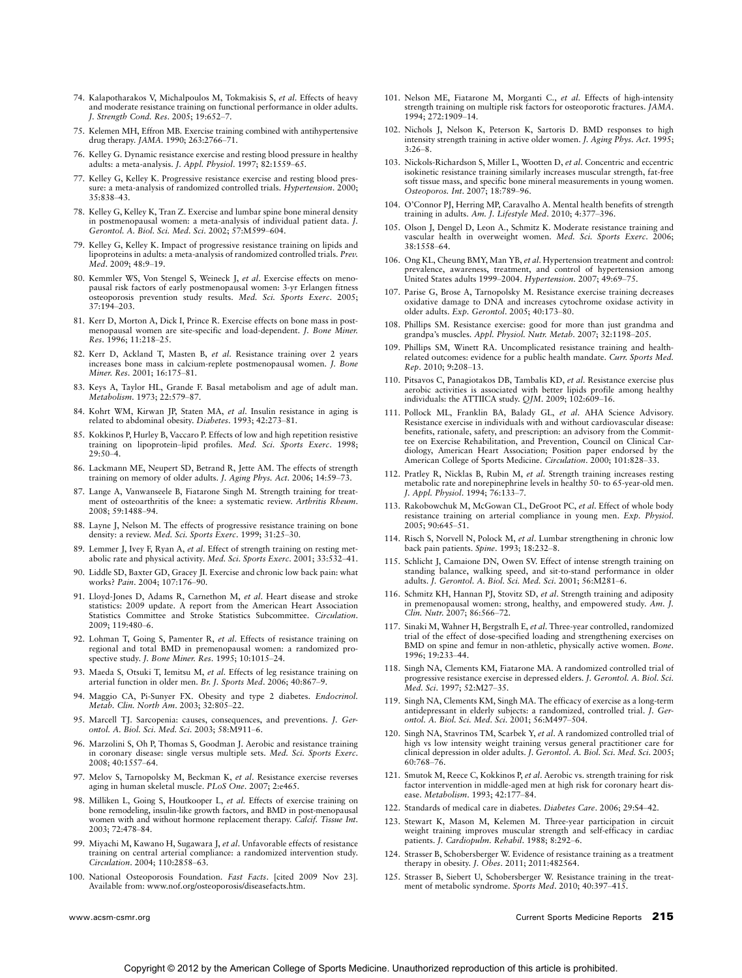- 74. Kalapotharakos V, Michalpoulos M, Tokmakisis S, et al. Effects of heavy and moderate resistance training on functional performance in older adults. J. Strength Cond. Res. 2005; 19:652-7.
- 75. Kelemen MH, Effron MB. Exercise training combined with antihypertensive drug therapy. *JAMA*. 1990; 263:2766-71.
- 76. Kelley G. Dynamic resistance exercise and resting blood pressure in healthy adults: a meta-analysis. J. Appl. Physiol. 1997; 82:1559-65.
- 77. Kelley G, Kelley K. Progressive resistance exercise and resting blood pressure: a meta-analysis of randomized controlled trials. Hypertension. 2000; 35:838-43.
- 78. Kelley G, Kelley K, Tran Z. Exercise and lumbar spine bone mineral density in postmenopausal women: a meta-analysis of individual patient data. J. Gerontol. A. Biol. Sci. Med. Sci. 2002; 57:M599-604.
- 79. Kelley G, Kelley K. Impact of progressive resistance training on lipids and lipoproteins in adults: a meta-analysis of randomized controlled trials. Prev. Med. 2009: 48:9-19.
- 80. Kemmler WS, Von Stengel S, Weineck J, et al. Exercise effects on menopausal risk factors of early postmenopausal women: 3-yr Erlangen fitness osteoporosis prevention study results. Med. Sci. Sports Exerc. 2005; 37:194-203.
- 81. Kerr D, Morton A, Dick I, Prince R. Exercise effects on bone mass in postmenopausal women are site-specific and load-dependent. J. Bone Miner. Res. 1996; 11:218-25.
- 82. Kerr D, Ackland T, Masten B, et al. Resistance training over 2 years increases bone mass in calcium-replete postmenopausal women. J. Bone Miner. Res. 2001; 16:175-81.
- 83. Keys A, Taylor HL, Grande F. Basal metabolism and age of adult man. Metabolism. 1973; 22:579-87.
- 84. Kohrt WM, Kirwan JP, Staten MA, et al. Insulin resistance in aging is related to abdominal obesity. Diabetes. 1993; 42:273-81.
- 85. Kokkinos P, Hurley B, Vaccaro P. Effects of low and high repetition resistive training on lipoprotein–lipid profiles. *Med. Sci. Sports Exerc.* 1998;<br>29:50–4.
- 86. Lackmann ME, Neupert SD, Betrand R, Jette AM. The effects of strength training on memory of older adults. J. Aging Phys. Act. 2006; 14:59-73.
- 87. Lange A, Vanwanseele B, Fiatarone Singh M. Strength training for treatment of osteoarthritis of the knee: a systematic review. Arthritis Rheum. 2008; 59:1488-94.
- 88. Layne J, Nelson M. The effects of progressive resistance training on bone density: a review. Med. Sci. Sports Exerc. 1999; 31:25-30.
- 89. Lemmer J, Ivey F, Ryan A, et al. Effect of strength training on resting metabolic rate and physical activity. Med. Sci. Sports Exerc. 2001; 33:532-41.
- 90. Liddle SD, Baxter GD, Gracey JI. Exercise and chronic low back pain: what works? Pain. 2004; 107:176-90.
- 91. Lloyd-Jones D, Adams R, Carnethon M, et al. Heart disease and stroke statistics: 2009 update. A report from the American Heart Association Statistics Committee and Stroke Statistics Subcommittee. Circulation. 2009; 119:480-6.
- 92. Lohman T, Going S, Pamenter R, et al. Effects of resistance training on regional and total BMD in premenopausal women: a randomized prospective study. J. Bone Miner. Res. 1995; 10:1015-24.
- 93. Maeda S, Otsuki T, Iemitsu M, et al. Effects of leg resistance training on arterial function in older men. Br. J. Sports Med. 2006; 40:867-9.
- 94. Maggio CA, Pi-Sunyer FX. Obesity and type 2 diabetes. *Endocrinol. Metab. Clin. North Am.* 2003; 32:805-22.
- 95. Marcell TJ. Sarcopenia: causes, consequences, and preventions. J. Gerontol. A. Biol. Sci. Med. Sci. 2003; 58:M911-6.
- 96. Marzolini S, Oh P, Thomas S, Goodman J. Aerobic and resistance training in coronary disease: single versus multiple sets. Med. Sci. Sports Exerc. 2008; 40:1557-64.
- 97. Melov S, Tarnopolsky M, Beckman K, et al. Resistance exercise reverses aging in human skeletal muscle. PLoS One. 2007; 2:e465.
- 98. Milliken L, Going S, Houtkooper L, et al. Effects of exercise training on bone remodeling, insulin-like growth factors, and BMD in post-menopausal women with and without hormone replacement therapy. Calcif. Tissue Int. 2003; 72:478-84.
- 99. Miyachi M, Kawano H, Sugawara J, et al. Unfavorable effects of resistance training on central arterial compliance: a randomized intervention study. Circulation. 2004; 110:2858-63.
- 100. National Osteoporosis Foundation. Fast Facts. [cited 2009 Nov 23]. Available from: www.nof.org/osteoporosis/diseasefacts.htm.
- 
- 101. Nelson ME, Fiatarone M, Morganti C., et al. Effects of high-intensity strength training on multiple risk factors for osteoporotic fractures. JAMA. 1994; 272:1909-14.
- 102. Nichols J, Nelson K, Peterson K, Sartoris D. BMD responses to high intensity strength training in active older women. J. Aging Phys. Act. 1995;  $3:26-8.$
- 103. Nickols-Richardson S, Miller L, Wootten D, et al. Concentric and eccentric isokinetic resistance training similarly increases muscular strength, fat-free soft tissue mass, and specific bone mineral measurements in young women. Osteoporos. Int. 2007; 18:789-96.
- 104. O'Connor PJ, Herring MP, Caravalho A. Mental health benefits of strength training in adults. Am. J. Lifestyle Med. 2010; 4:377-396.
- 105. Olson J, Dengel D, Leon A., Schmitz K. Moderate resistance training and vascular health in overweight women. Med. Sci. Sports Exerc. 2006; 38:1558-64.
- 106. Ong KL, Cheung BMY, Man YB, et al. Hypertension treatment and control: prevalence, awareness, treatment, and control of hypertension among United States adults 1999-2004. Hypertension. 2007; 49:69-75.
- 107. Parise G, Brose A, Tarnopolsky M. Resistance exercise training decreases oxidative damage to DNA and increases cytochrome oxidase activity in older adults.  $Exp.$  Gerontol. 2005; 40:173-80.
- 108. Phillips SM. Resistance exercise: good for more than just grandma and grandpa's muscles. Appl. Physiol. Nutr. Metab. 2007; 32:1198-205.
- 109. Phillips SM, Winett RA. Uncomplicated resistance training and healthrelated outcomes: evidence for a public health mandate. Curr. Sports Med. Rep. 2010; 9:208-13.
- 110. Pitsavos C, Panagiotakos DB, Tambalis KD, et al. Resistance exercise plus aerobic activities is associated with better lipids profile among healthy individuals: the ATTIICA study.  $QJM$ . 2009; 102:609-16.
- 111. Pollock ML, Franklin BA, Balady GL, et al. AHA Science Advisory. Resistance exercise in individuals with and without cardiovascular disease: benefits, rationale, safety, and prescription: an advisory from the Committee on Exercise Rehabilitation, and Prevention, Council on Clinical Cardiology, American Heart Association; Position paper endorsed by the<br>American College of Sports Medicine. Circulation. 2000; 101:828–33.
- 112. Pratley R, Nicklas B, Rubin M, et al. Strength training increases resting metabolic rate and norepinephrine levels in healthy 50- to 65-year-old men. J. Appl. Physiol. 1994; 76:133-7.
- 113. Rakobowchuk M, McGowan CL, DeGroot PC, et al. Effect of whole body resistance training on arterial compliance in young men. Exp. Physiol. 2005; 90:645-51.
- 114. Risch S, Norvell N, Polock M, et al. Lumbar strengthening in chronic low back pain patients.  $Spine$ . 1993; 18:232-8.
- 115. Schlicht J, Camaione DN, Owen SV. Effect of intense strength training on standing balance, walking speed, and sit-to-stand performance in older adults. J. Gerontol. A. Biol. Sci. Med. Sci. 2001; 56:M281-6.
- 116. Schmitz KH, Hannan PJ, Stovitz SD, *et al.* Strength training and adiposity in premenopausal women: strong, healthy, and empowered study. Am. J. Clin. Nutr. 2007; 86:566-72.
- 117. Sinaki M, Wahner H, Bergstralh E, et al. Three-year controlled, randomized trial of the effect of dose-specified loading and strengthening exercises on BMD on spine and femur in non-athletic, physically active women. Bone. 1996; 19:233-44.
- 118. Singh NA, Clements KM, Fiatarone MA. A randomized controlled trial of progressive resistance exercise in depressed elders. J. Gerontol. A. Biol. Sci. Med. Sci. 1997; 52:M27-35.
- 119. Singh NA, Clements KM, Singh MA. The efficacy of exercise as a long-term antidepressant in elderly subjects: a randomized, controlled trial. J. Gerontol. A. Biol. Sci. Med. Sci. 2001; 56:M497-504.
- 120. Singh NA, Stavrinos TM, Scarbek Y, et al. A randomized controlled trial of high vs low intensity weight training versus general practitioner care for clinical depression in older adults. J. Gerontol. A. Biol. Sci. Med. Sci. 2005; 60:768-76.
- 121. Smutok M, Reece C, Kokkinos P, et al. Aerobic vs. strength training for risk factor intervention in middle-aged men at high risk for coronary heart dis-<br>ease. Metabolism. 1993; 42:177–84.
- 122. Standards of medical care in diabetes. Diabetes Care. 2006; 29:S4-42.
- 123. Stewart K, Mason M, Kelemen M. Three-year participation in circuit weight training improves muscular strength and self-efficacy in cardiac patients. J. Cardiopulm. Rehabil. 1988; 8:292-6.
- 124. Strasser B, Schobersberger W. Evidence of resistance training as a treatment therapy in obesity. J. Obes. 2011; 2011:482564.
- 125. Strasser B, Siebert U, Schobersberger W. Resistance training in the treatment of metabolic syndrome. Sports Med. 2010; 40:397-415.

www.acsm-csmr.org **215** Current Sports Medicine Reports 215